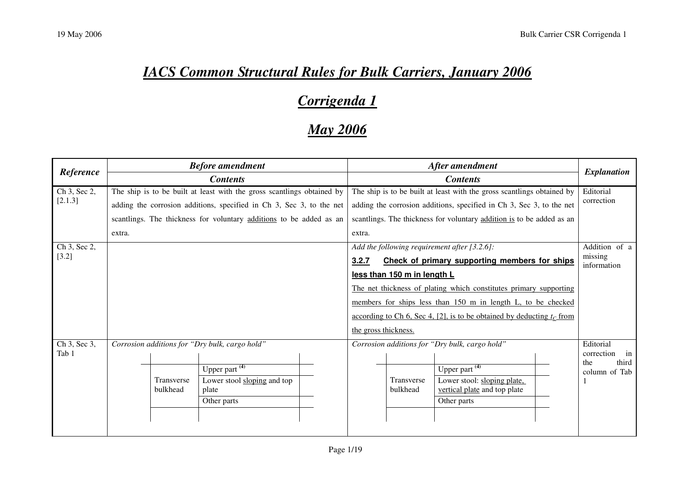## *IACS Common Structural Rules for Bulk Carriers, January 2006*

## *Corrigenda 1*

## *May 2006*

|                       | <b>Before amendment</b><br><b>Contents</b>                             |                   |                                                                     | After amendment<br><b>Contents</b> |        |                                                                      | <b>Explanation</b>                                                       |            |                               |
|-----------------------|------------------------------------------------------------------------|-------------------|---------------------------------------------------------------------|------------------------------------|--------|----------------------------------------------------------------------|--------------------------------------------------------------------------|------------|-------------------------------|
| Reference             |                                                                        |                   |                                                                     |                                    |        |                                                                      |                                                                          |            |                               |
| Ch 3, Sec 2,          | The ship is to be built at least with the gross scantlings obtained by |                   |                                                                     |                                    |        |                                                                      | The ship is to be built at least with the gross scantlings obtained by   |            | Editorial                     |
| [2.1.3]               | adding the corrosion additions, specified in Ch 3, Sec 3, to the net   |                   |                                                                     |                                    |        | adding the corrosion additions, specified in Ch 3, Sec 3, to the net |                                                                          | correction |                               |
|                       |                                                                        |                   | scantlings. The thickness for voluntary additions to be added as an |                                    |        |                                                                      | scantlings. The thickness for voluntary addition is to be added as an    |            |                               |
|                       | extra.                                                                 |                   |                                                                     |                                    | extra. |                                                                      |                                                                          |            |                               |
| Ch 3, Sec 2,          |                                                                        |                   |                                                                     |                                    |        |                                                                      | Add the following requirement after $[3.2.6]$ :                          |            | Addition of a                 |
| $[3.2]$               |                                                                        |                   |                                                                     |                                    | 3.2.7  |                                                                      | Check of primary supporting members for ships                            |            | missing<br>information        |
|                       |                                                                        |                   |                                                                     |                                    |        | less than 150 m in length L                                          |                                                                          |            |                               |
|                       |                                                                        |                   |                                                                     |                                    |        |                                                                      | The net thickness of plating which constitutes primary supporting        |            |                               |
|                       |                                                                        |                   |                                                                     |                                    |        |                                                                      | members for ships less than 150 m in length L, to be checked             |            |                               |
|                       |                                                                        |                   |                                                                     |                                    |        |                                                                      | according to Ch 6, Sec 4, [2], is to be obtained by deducting $t_c$ from |            |                               |
|                       |                                                                        |                   |                                                                     |                                    |        | the gross thickness.                                                 |                                                                          |            |                               |
| Ch 3, Sec 3,<br>Tab 1 |                                                                        |                   | Corrosion additions for "Dry bulk, cargo hold"                      |                                    |        |                                                                      | Corrosion additions for "Dry bulk, cargo hold"                           |            | Editorial<br>correction<br>in |
|                       |                                                                        |                   | Upper part $(4)$                                                    |                                    |        |                                                                      | Upper part $(4)$                                                         |            | third<br>the<br>column of Tab |
|                       |                                                                        | <b>Transverse</b> | Lower stool sloping and top                                         |                                    |        | Transverse                                                           | Lower stool: sloping plate,                                              |            |                               |
|                       |                                                                        | bulkhead          | plate                                                               |                                    |        | bulkhead                                                             | vertical plate and top plate                                             |            |                               |
|                       |                                                                        |                   | Other parts                                                         |                                    |        |                                                                      | Other parts                                                              |            |                               |
|                       |                                                                        |                   |                                                                     |                                    |        |                                                                      |                                                                          |            |                               |
|                       |                                                                        |                   |                                                                     |                                    |        |                                                                      |                                                                          |            |                               |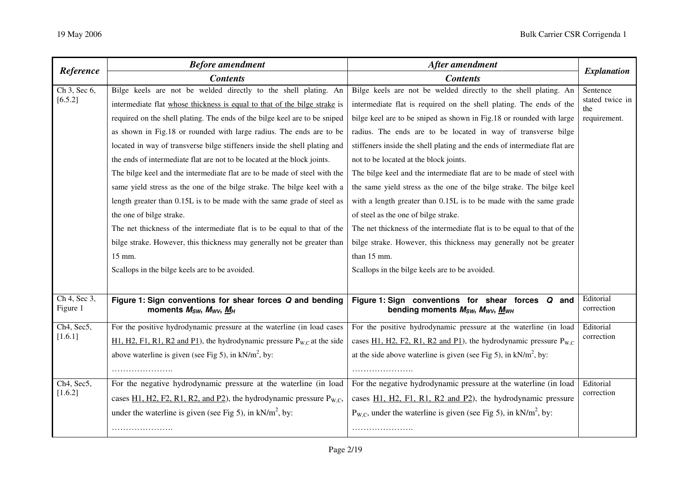| Reference                | <b>Before amendment</b>                                                                                                 | After amendment                                                                                                                                                | <b>Explanation</b>      |  |
|--------------------------|-------------------------------------------------------------------------------------------------------------------------|----------------------------------------------------------------------------------------------------------------------------------------------------------------|-------------------------|--|
|                          | <b>Contents</b>                                                                                                         | <b>Contents</b>                                                                                                                                                |                         |  |
| Ch 3, Sec 6,             | Bilge keels are not be welded directly to the shell plating. An                                                         | Bilge keels are not be welded directly to the shell plating. An                                                                                                | Sentence                |  |
| [6.5.2]                  | intermediate flat whose thickness is equal to that of the bilge strake is                                               | intermediate flat is required on the shell plating. The ends of the                                                                                            | stated twice in<br>the  |  |
|                          | required on the shell plating. The ends of the bilge keel are to be sniped                                              | bilge keel are to be sniped as shown in Fig.18 or rounded with large                                                                                           | requirement.            |  |
|                          | as shown in Fig.18 or rounded with large radius. The ends are to be                                                     | radius. The ends are to be located in way of transverse bilge                                                                                                  |                         |  |
|                          | located in way of transverse bilge stiffeners inside the shell plating and                                              | stiffeners inside the shell plating and the ends of intermediate flat are                                                                                      |                         |  |
|                          | the ends of intermediate flat are not to be located at the block joints.                                                | not to be located at the block joints.                                                                                                                         |                         |  |
|                          | The bilge keel and the intermediate flat are to be made of steel with the                                               | The bilge keel and the intermediate flat are to be made of steel with                                                                                          |                         |  |
|                          | same yield stress as the one of the bilge strake. The bilge keel with a                                                 | the same yield stress as the one of the bilge strake. The bilge keel                                                                                           |                         |  |
|                          | length greater than 0.15L is to be made with the same grade of steel as                                                 | with a length greater than 0.15L is to be made with the same grade                                                                                             |                         |  |
|                          | the one of bilge strake.                                                                                                | of steel as the one of bilge strake.                                                                                                                           |                         |  |
|                          | The net thickness of the intermediate flat is to be equal to that of the                                                | The net thickness of the intermediate flat is to be equal to that of the                                                                                       |                         |  |
|                          | bilge strake. However, this thickness may generally not be greater than                                                 | bilge strake. However, this thickness may generally not be greater                                                                                             |                         |  |
|                          | 15 mm.                                                                                                                  | than 15 mm.                                                                                                                                                    |                         |  |
|                          | Scallops in the bilge keels are to be avoided.                                                                          | Scallops in the bilge keels are to be avoided.                                                                                                                 |                         |  |
|                          |                                                                                                                         |                                                                                                                                                                |                         |  |
| Ch 4, Sec 3,<br>Figure 1 | Figure 1: Sign conventions for shear forces Q and bending<br>moments M <sub>sw</sub> , M <sub>wv</sub> , M <sub>H</sub> | Figure 1: Sign conventions for shear forces Q and<br>bending moments M <sub>SW</sub> , M <sub>WV</sub> , M <sub>WH</sub>                                       | Editorial<br>correction |  |
| Ch4, Sec5,               | For the positive hydrodynamic pressure at the waterline (in load cases                                                  | For the positive hydrodynamic pressure at the waterline (in load                                                                                               | Editorial               |  |
| [1.6.1]                  | $H1, H2, F1, R1, R2$ and P1), the hydrodynamic pressure $P_{W,C}$ at the side                                           | cases $\underline{H1}$ , $\underline{H2}$ , $\underline{F2}$ , $\underline{R1}$ , $\underline{R2}$ and $\underline{P1}$ ), the hydrodynamic pressure $P_{W.C}$ | correction              |  |
|                          | above waterline is given (see Fig 5), in $kN/m^2$ , by:                                                                 | at the side above waterline is given (see Fig 5), in $kN/m^2$ , by:                                                                                            |                         |  |
|                          |                                                                                                                         |                                                                                                                                                                |                         |  |
| Ch4, Sec5,               | For the negative hydrodynamic pressure at the waterline (in load                                                        | For the negative hydrodynamic pressure at the waterline (in load                                                                                               | Editorial               |  |
| [1.6.2]                  | cases $\underline{H1}$ , H2, F2, R1, R2, and P2), the hydrodynamic pressure $P_{W,C}$ ,                                 | cases H1, H2, F1, R1, R2 and P2), the hydrodynamic pressure                                                                                                    | correction              |  |
|                          | under the waterline is given (see Fig 5), in $kN/m^2$ , by:                                                             | $P_{W.C}$ , under the waterline is given (see Fig 5), in kN/m <sup>2</sup> , by:                                                                               |                         |  |
|                          |                                                                                                                         |                                                                                                                                                                |                         |  |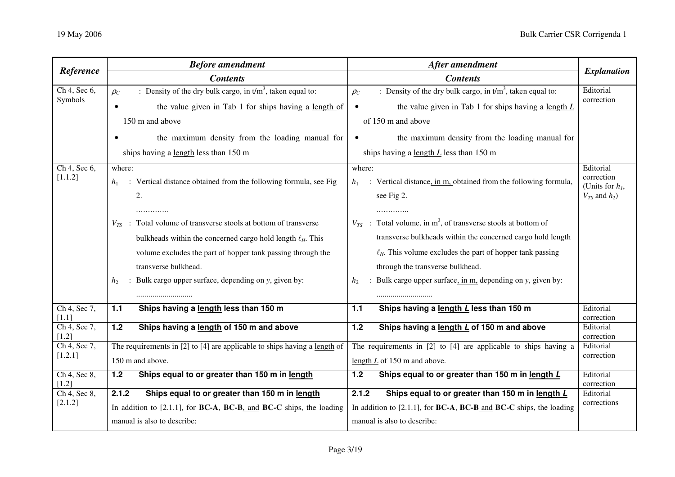| Reference                 | <b>Before amendment</b>                                                                       | After amendment                                                                          |                                            |
|---------------------------|-----------------------------------------------------------------------------------------------|------------------------------------------------------------------------------------------|--------------------------------------------|
|                           | <b>Contents</b>                                                                               | <b>Contents</b>                                                                          | <b>Explanation</b>                         |
| Ch 4, Sec 6,<br>Symbols   | : Density of the dry bulk cargo, in $t/m3$ , taken equal to:<br>$\rho_c$                      | : Density of the dry bulk cargo, in $t/m3$ , taken equal to:<br>$\rho_c$                 | Editorial                                  |
|                           | the value given in Tab 1 for ships having a length of                                         | the value given in Tab 1 for ships having a length $L$                                   | correction                                 |
|                           | 150 m and above                                                                               | of 150 m and above                                                                       |                                            |
|                           | the maximum density from the loading manual for                                               | the maximum density from the loading manual for                                          |                                            |
|                           | ships having a length less than 150 m                                                         | ships having a length $L$ less than 150 m                                                |                                            |
| $Ch$ 4, Sec 6,<br>[1.1.2] | where:                                                                                        | where:                                                                                   | Editorial<br>correction                    |
|                           | : Vertical distance obtained from the following formula, see Fig.<br>$h_1$<br>2.              | : Vertical distance, in m, obtained from the following formula,<br>$h_{1}$<br>see Fig 2. | (Units for $h_1$ ,<br>$V_{TS}$ and $h_2$ ) |
|                           |                                                                                               |                                                                                          |                                            |
|                           | $V_{TS}$ : Total volume of transverse stools at bottom of transverse                          | $V_{TS}$ : Total volume, in m <sup>3</sup> , of transverse stools at bottom of           |                                            |
|                           | bulkheads within the concerned cargo hold length $\ell_H$ . This                              | transverse bulkheads within the concerned cargo hold length                              |                                            |
|                           | volume excludes the part of hopper tank passing through the                                   | $\ell_H$ . This volume excludes the part of hopper tank passing                          |                                            |
|                           | transverse bulkhead.                                                                          | through the transverse bulkhead.                                                         |                                            |
|                           | : Bulk cargo upper surface, depending on y, given by:<br>h <sub>2</sub>                       | : Bulk cargo upper surface, in m, depending on y, given by:<br>h <sub>2</sub>            |                                            |
|                           |                                                                                               |                                                                                          |                                            |
| Ch 4, Sec 7,<br>[1.1]     | 1.1<br>Ships having a length less than 150 m                                                  | Ships having a length L less than 150 m<br>1.1                                           | Editorial<br>correction                    |
| Ch 4, Sec 7,<br>$[1.2]$   | Ships having a length of 150 m and above<br>1.2                                               | Ships having a length L of 150 m and above<br>$1.2$                                      | Editorial<br>correction                    |
| Ch 4, Sec 7,              | The requirements in $[2]$ to $[4]$ are applicable to ships having a length of                 | The requirements in [2] to [4] are applicable to ships having a                          | Editorial                                  |
| [1.2.1]                   | 150 m and above.                                                                              | length $L$ of 150 m and above.                                                           | correction                                 |
| $Ch$ 4, Sec 8,<br>$[1.2]$ | Ships equal to or greater than 150 m in length<br>$1.2$                                       | Ships equal to or greater than 150 m in length L<br>1.2                                  | Editorial<br>correction                    |
| Ch 4, Sec 8,              | Ships equal to or greater than 150 m in length<br>2.1.2                                       | Ships equal to or greater than 150 m in length L<br>2.1.2                                | Editorial                                  |
| [2.1.2]                   | In addition to $[2.1.1]$ , for <b>BC-A</b> , <b>BC-B</b> , and <b>BC-C</b> ships, the loading | In addition to $[2.1.1]$ , for <b>BC-A, BC-B</b> and <b>BC-C</b> ships, the loading      | corrections                                |
|                           | manual is also to describe:                                                                   | manual is also to describe:                                                              |                                            |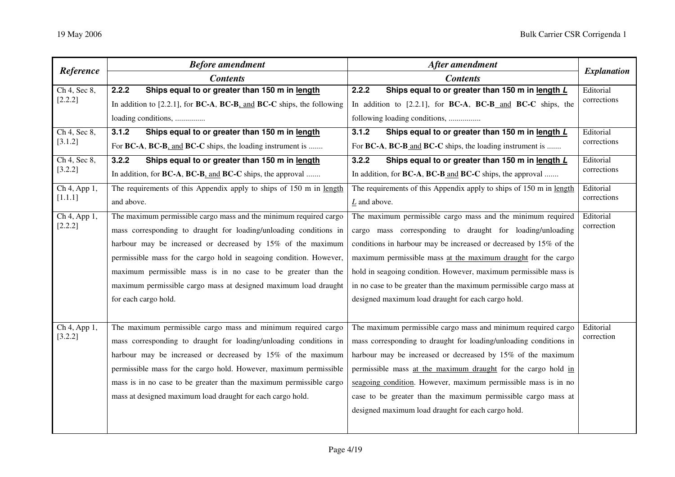| Reference                 | <b>Before amendment</b>                                                                         | After amendment                                                                | <b>Explanation</b>       |  |
|---------------------------|-------------------------------------------------------------------------------------------------|--------------------------------------------------------------------------------|--------------------------|--|
|                           | <b>Contents</b>                                                                                 | <b>Contents</b>                                                                |                          |  |
| Ch 4, Sec 8,              | 2.2.2<br>Ships equal to or greater than 150 m in length                                         | 2.2.2<br>Ships equal to or greater than 150 m in length L                      | Editorial<br>corrections |  |
| [2.2.2]                   | In addition to $[2.2.1]$ , for <b>BC-A</b> , <b>BC-B</b> , and <b>BC-C</b> ships, the following | In addition to [2.2.1], for BC-A, BC-B and BC-C ships, the                     |                          |  |
|                           | loading conditions,                                                                             | following loading conditions,                                                  |                          |  |
| $Ch$ 4, Sec 8,            | 3.1.2<br>Ships equal to or greater than 150 m in length                                         | 3.1.2<br>Ships equal to or greater than 150 m in length L                      | Editorial                |  |
| [3.1.2]                   | For BC-A, BC-B, and BC-C ships, the loading instrument is                                       | For BC-A, BC-B and BC-C ships, the loading instrument is                       | corrections              |  |
| Ch 4, Sec 8,              | 3.2.2<br>Ships equal to or greater than 150 m in length                                         | 3.2.2<br>Ships equal to or greater than 150 m in length L                      | Editorial                |  |
| [3.2.2]                   | In addition, for BC-A, BC-B, and BC-C ships, the approval                                       | In addition, for <b>BC-A</b> , <b>BC-B</b> and <b>BC-C</b> ships, the approval | corrections              |  |
| Ch 4, App 1,              | The requirements of this Appendix apply to ships of 150 m in length                             | The requirements of this Appendix apply to ships of 150 m in length            | Editorial                |  |
| [1.1.1]                   | and above.                                                                                      | $L$ and above.                                                                 | corrections              |  |
| $\overline{Ch4, App1}$ ,  | The maximum permissible cargo mass and the minimum required cargo                               | The maximum permissible cargo mass and the minimum required                    | Editorial                |  |
| [2.2.2]                   | mass corresponding to draught for loading/unloading conditions in                               | cargo mass corresponding to draught for loading/unloading                      | correction               |  |
|                           | harbour may be increased or decreased by 15% of the maximum                                     | conditions in harbour may be increased or decreased by 15% of the              |                          |  |
|                           | permissible mass for the cargo hold in seagoing condition. However,                             | maximum permissible mass at the maximum draught for the cargo                  |                          |  |
|                           | maximum permissible mass is in no case to be greater than the                                   | hold in seagoing condition. However, maximum permissible mass is               |                          |  |
|                           | maximum permissible cargo mass at designed maximum load draught                                 | in no case to be greater than the maximum permissible cargo mass at            |                          |  |
|                           | for each cargo hold.                                                                            | designed maximum load draught for each cargo hold.                             |                          |  |
|                           |                                                                                                 |                                                                                |                          |  |
| $\overline{Ch4}$ , App 1, | The maximum permissible cargo mass and minimum required cargo                                   | The maximum permissible cargo mass and minimum required cargo                  | Editorial                |  |
| [3.2.2]                   | mass corresponding to draught for loading/unloading conditions in                               | mass corresponding to draught for loading/unloading conditions in              | correction               |  |
|                           | harbour may be increased or decreased by 15% of the maximum                                     | harbour may be increased or decreased by 15% of the maximum                    |                          |  |
|                           | permissible mass for the cargo hold. However, maximum permissible                               | permissible mass at the maximum draught for the cargo hold in                  |                          |  |
|                           | mass is in no case to be greater than the maximum permissible cargo                             | seagoing condition. However, maximum permissible mass is in no                 |                          |  |
|                           | mass at designed maximum load draught for each cargo hold.                                      | case to be greater than the maximum permissible cargo mass at                  |                          |  |
|                           |                                                                                                 | designed maximum load draught for each cargo hold.                             |                          |  |
|                           |                                                                                                 |                                                                                |                          |  |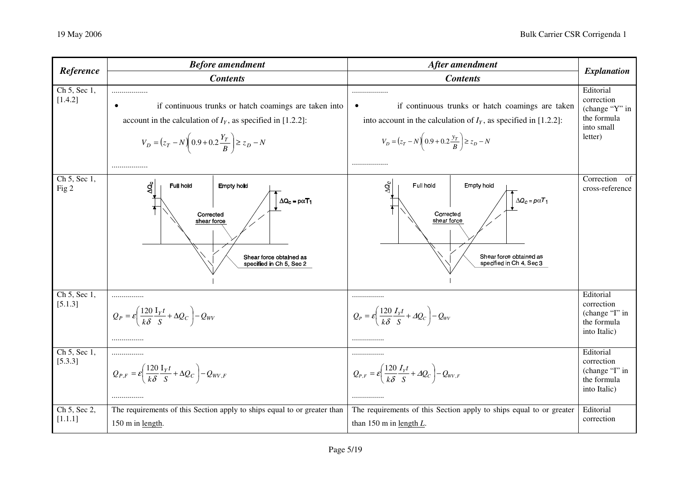| Reference               | <b>Before amendment</b>                                                                                                                                                                                             | After amendment                                                                                                                                                                                         | <b>Explanation</b>                                                                |
|-------------------------|---------------------------------------------------------------------------------------------------------------------------------------------------------------------------------------------------------------------|---------------------------------------------------------------------------------------------------------------------------------------------------------------------------------------------------------|-----------------------------------------------------------------------------------|
|                         | <b>Contents</b>                                                                                                                                                                                                     | <b>Contents</b>                                                                                                                                                                                         |                                                                                   |
| Ch 5, Sec 1,<br>[1.4.2] | <br>if continuous trunks or hatch coamings are taken into<br>$\bullet$<br>account in the calculation of $IY$ , as specified in [1.2.2]:<br>$V_D = (z_T - N) \left( 0.9 + 0.2 \frac{Y_T}{B} \right) \ge z_D - N$<br> | .<br>if continuous trunks or hatch coamings are taken<br>into account in the calculation of $IY$ , as specified in [1.2.2]:<br>$V_D = (z_T - N) \left( 0.9 + 0.2 \frac{y_T}{R} \right) \ge z_D - N$<br> | Editorial<br>correction<br>(change "Y" in<br>the formula<br>into small<br>letter) |
| Ch 5, Sec 1,<br>Fig 2   | $\Delta c$<br><b>Full hold</b><br><b>Empty hold</b><br>$\Delta Q_c = p\alpha T_1$<br>Corrected<br>shear force<br>Shear force obtained as<br>specified in Ch 5, Sec 2                                                | g<br>Full hold<br>Empty hold<br>$\Delta Q_c = p \alpha T_1$<br>Corrected<br>shear force<br>Shear force obtained as<br>specified in Ch 4, Sec 3                                                          | Correction of<br>cross-reference                                                  |
| Ch 5, Sec 1,<br>[5.1.3] | <br>$Q_P = \varepsilon \left( \frac{120}{k\delta} \frac{\mathrm{I}_Y t}{S} + \Delta Q_C \right) - Q_{WV}$<br>                                                                                                       | <br>$Q_P = \varepsilon \left( \frac{120}{k\delta} \frac{I_Y t}{S} + \Delta Q_C \right) - Q_{WV}$<br>                                                                                                    | Editorial<br>correction<br>(change "I" in<br>the formula<br>into Italic)          |
| Ch 5, Sec 1,<br>[5.3.3] | $Q_{P,F} = \varepsilon \left( \frac{120}{k\delta} \frac{\mathrm{I}_Y t}{S} + \Delta Q_C \right) - Q_{WV,F}$<br>                                                                                                     | .<br>$Q_{P,F} = \varepsilon \left( \frac{120}{k\delta} \frac{I_Y t}{S} + \Delta Q_C \right) - Q_{WV,F}$<br>.                                                                                            | Editorial<br>correction<br>(change "I" in<br>the formula<br>into Italic)          |
| Ch 5, Sec 2,<br>[1.1.1] | The requirements of this Section apply to ships equal to or greater than<br>150 m in length.                                                                                                                        | The requirements of this Section apply to ships equal to or greater<br>than 150 m in length $L$ .                                                                                                       | Editorial<br>correction                                                           |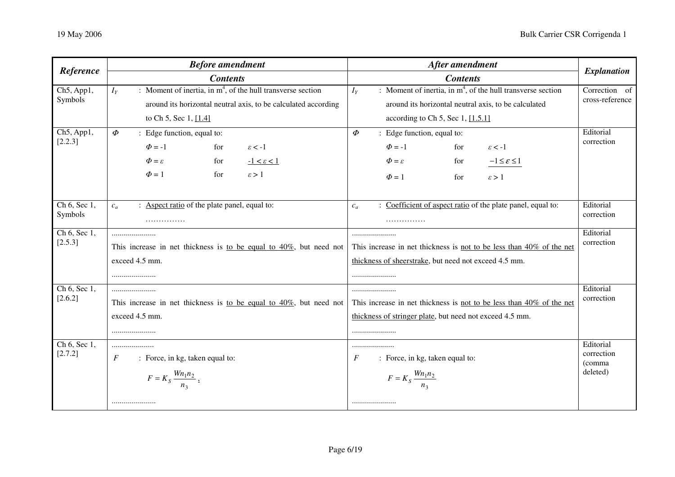| Reference    | <b>Before amendment</b>                                                | After amendment                                                         | <b>Explanation</b>   |
|--------------|------------------------------------------------------------------------|-------------------------------------------------------------------------|----------------------|
|              | <b>Contents</b>                                                        | <b>Contents</b>                                                         |                      |
| Ch5, App1,   | : Moment of inertia, in $m4$ , of the hull transverse section<br>$I_Y$ | : Moment of inertia, in $m4$ , of the hull transverse section<br>$I_Y$  | Correction of        |
| Symbols      | around its horizontal neutral axis, to be calculated according         | around its horizontal neutral axis, to be calculated                    | cross-reference      |
|              | to Ch 5, Sec 1, [1.4]                                                  | according to Ch 5, Sec 1, $[1.5.1]$                                     |                      |
| Ch5, App1,   | $\Phi$<br>: Edge function, equal to:                                   | $\boldsymbol{\phi}$<br>: Edge function, equal to:                       | Editorial            |
| [2.2.3]      | $\Phi = -1$<br>$\varepsilon<-1$<br>for                                 | $\Phi = -1$<br>$\varepsilon < -1$<br>for                                | correction           |
|              | $\Phi = \varepsilon$<br>$-1 < \varepsilon < 1$<br>for                  | $-1 \leq \varepsilon \leq 1$<br>$\Phi = \varepsilon$<br>for             |                      |
|              | $\Phi=1$<br>for<br>$\epsilon > 1$                                      | $\Phi = 1$<br>$\epsilon > 1$<br>for                                     |                      |
|              |                                                                        |                                                                         |                      |
| Ch 6, Sec 1, | : Aspect ratio of the plate panel, equal to:<br>$c_a$                  | Coefficient of aspect ratio of the plate panel, equal to:<br>$c_a$      | Editorial            |
| Symbols      | .                                                                      | .                                                                       | correction           |
| Ch 6, Sec 1, |                                                                        |                                                                         | Editorial            |
| [2.5.3]      | This increase in net thickness is to be equal to $40\%$ , but need not | This increase in net thickness is not to be less than 40% of the net    | correction           |
|              | exceed 4.5 mm.                                                         | thickness of sheerstrake, but need not exceed 4.5 mm.                   |                      |
|              |                                                                        |                                                                         |                      |
| Ch 6, Sec 1, |                                                                        |                                                                         | Editorial            |
| [2.6.2]      | This increase in net thickness is to be equal to $40\%$ , but need not | This increase in net thickness is not to be less than $40\%$ of the net | correction           |
|              | exceed 4.5 mm.                                                         | thickness of stringer plate, but need not exceed 4.5 mm.                |                      |
|              |                                                                        |                                                                         |                      |
| Ch 6, Sec 1, |                                                                        |                                                                         | Editorial            |
| [2.7.2]      | F<br>: Force, in kg, taken equal to:                                   | : Force, in kg, taken equal to:<br>$\overline{F}$                       | correction<br>(comma |
|              | $F = K_S \frac{W n_1 n_2}{n_3}$ .                                      | $F = K_S \frac{W n_1 n_2}{n_3}$                                         | deleted)             |
|              |                                                                        |                                                                         |                      |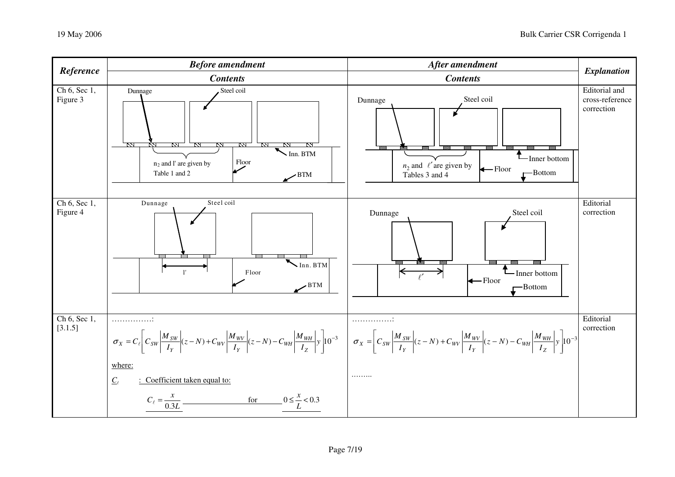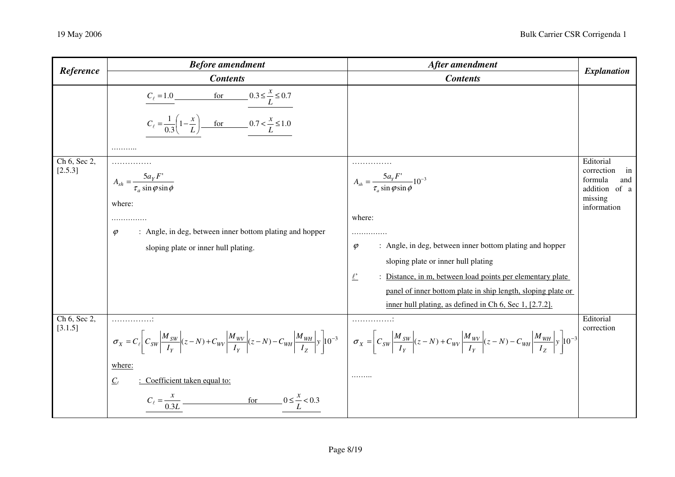| Reference               | <b>Before amendment</b>                                                                                                                                                                                                                                                                                                                                                                                                                                                                                                 | After amendment                                                                                                                                                                                                                                                                                                                                                                                           | <b>Explanation</b>                                                                         |
|-------------------------|-------------------------------------------------------------------------------------------------------------------------------------------------------------------------------------------------------------------------------------------------------------------------------------------------------------------------------------------------------------------------------------------------------------------------------------------------------------------------------------------------------------------------|-----------------------------------------------------------------------------------------------------------------------------------------------------------------------------------------------------------------------------------------------------------------------------------------------------------------------------------------------------------------------------------------------------------|--------------------------------------------------------------------------------------------|
|                         | <b>Contents</b>                                                                                                                                                                                                                                                                                                                                                                                                                                                                                                         | <b>Contents</b>                                                                                                                                                                                                                                                                                                                                                                                           |                                                                                            |
|                         | $C_{\ell} = 1.0$ for $0.3 \le \frac{x}{L} \le 0.7$<br>$C_{\ell} = \frac{1}{0.3} \left( 1 - \frac{x}{L} \right)$ for 0.7 < $\frac{x}{L} \le 1.0$<br>.                                                                                                                                                                                                                                                                                                                                                                    |                                                                                                                                                                                                                                                                                                                                                                                                           |                                                                                            |
| Ch 6, Sec 2,<br>[2.5.3] | $A_{sh} = \frac{5a_Y F'}{\tau_a \sin \varphi \sin \varphi}$<br>where:<br>: Angle, in deg, between inner bottom plating and hopper<br>$\varphi$<br>sloping plate or inner hull plating.                                                                                                                                                                                                                                                                                                                                  | .<br>$A_{sh} = \frac{5a_yF'}{\tau_a \sin \varphi \sin \varphi} 10^{-3}$<br>where:<br>.<br>: Angle, in deg, between inner bottom plating and hopper<br>$\varphi$<br>sloping plate or inner hull plating<br>$\ell$<br>: Distance, in m, between load points per elementary plate<br>panel of inner bottom plate in ship length, sloping plate or<br>inner hull plating, as defined in Ch 6, Sec 1, [2.7.2]. | Editorial<br>correction<br>in<br>formula<br>and<br>addition of a<br>missing<br>information |
| Ch 6, Sec 2,<br>[3.1.5] | .<br>$\sigma_x = C_e \left[ C_{SW} \left  \frac{M_{SW}}{I_Y} \right  (z-N) + C_{WV} \left  \frac{M_{WV}}{I_Y} \right  (z-N) - C_{WH} \left  \frac{M_{WH}}{I_Z} \right  y \right] 10^{-3} \quad \left[ \sigma_x = \left[ C_{SW} \left  \frac{M_{SW}}{I_V} \right  (z-N) + C_{WV} \left  \frac{M_{WV}}{I_V} \right  (z-N) - C_{WH} \left  \frac{M_{WH}}{I_Z} \right  y \right] 10^{-3} \right]$<br>where:<br>$C_{\ell}$<br>: Coefficient taken equal to:<br>$C_{\ell} = \frac{x}{0.3L}$<br>for $0 \leq \frac{x}{L} < 0.3$ | .<br>.                                                                                                                                                                                                                                                                                                                                                                                                    | Editorial<br>correction                                                                    |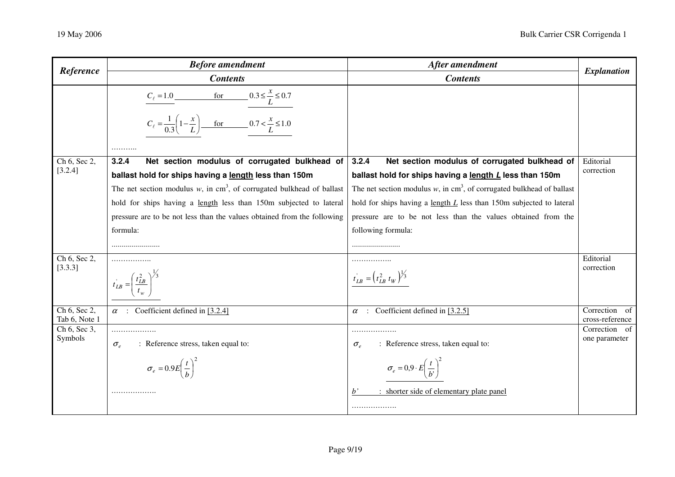| Reference                        | <b>Before amendment</b>                                                                                                                              | After amendment                                                                                                                     | <b>Explanation</b>                    |
|----------------------------------|------------------------------------------------------------------------------------------------------------------------------------------------------|-------------------------------------------------------------------------------------------------------------------------------------|---------------------------------------|
|                                  | <b>Contents</b>                                                                                                                                      | <b>Contents</b>                                                                                                                     |                                       |
|                                  | $C_{\ell} = 1.0$ for $0.3 \le \frac{x}{L} \le 0.7$<br>$C_{\ell} = \frac{1}{0.3} \left( 1 - \frac{x}{L} \right)$ for 0.7 < $\frac{x}{L} \le 1.0$<br>. |                                                                                                                                     |                                       |
| Ch 6, Sec 2,                     | Net section modulus of corrugated bulkhead of<br>3.2.4                                                                                               | Net section modulus of corrugated bulkhead of<br>3.2.4                                                                              | Editorial                             |
| [3.2.4]                          | ballast hold for ships having a length less than 150m                                                                                                | ballast hold for ships having a length L less than 150m                                                                             | correction                            |
|                                  | The net section modulus $w$ , in cm <sup>3</sup> , of corrugated bulkhead of ballast                                                                 | The net section modulus $w$ , in cm <sup>3</sup> , of corrugated bulkhead of ballast                                                |                                       |
|                                  | hold for ships having a length less than 150m subjected to lateral                                                                                   | hold for ships having a length $L$ less than 150m subjected to lateral                                                              |                                       |
|                                  | pressure are to be not less than the values obtained from the following                                                                              | pressure are to be not less than the values obtained from the                                                                       |                                       |
|                                  | formula:                                                                                                                                             | following formula:                                                                                                                  |                                       |
|                                  |                                                                                                                                                      |                                                                                                                                     |                                       |
| Ch 6, Sec 2,<br>[3.3.3]          | $t_{LB} = \left(\frac{t_{LB}^2}{t_{LL}}\right)^{\frac{1}{3}}$                                                                                        | $t_{LB} = (t_{LB}^2 t_W)^{1/3}$                                                                                                     | Editorial<br>correction               |
| Ch 6, Sec $2$ ,<br>Tab 6, Note 1 | $\alpha$ : Coefficient defined in [3.2.4]                                                                                                            | Coefficient defined in [3.2.5]<br>$\alpha$                                                                                          | Correction<br>- of<br>cross-reference |
| Ch 6, Sec 3,<br>Symbols          | .<br>: Reference stress, taken equal to:<br>$\sigma_e$<br>$\sigma_e = 0.9E\left(\frac{t}{b}\right)^2$                                                | .<br>: Reference stress, taken equal to:<br>$\sigma_{\scriptscriptstyle e}$<br>$\sigma_e = 0.9 \cdot E \left(\frac{t}{b'}\right)^2$ | Correction of<br>one parameter        |
|                                  | .                                                                                                                                                    | : shorter side of elementary plate panel<br>$b^{\prime}$<br>.                                                                       |                                       |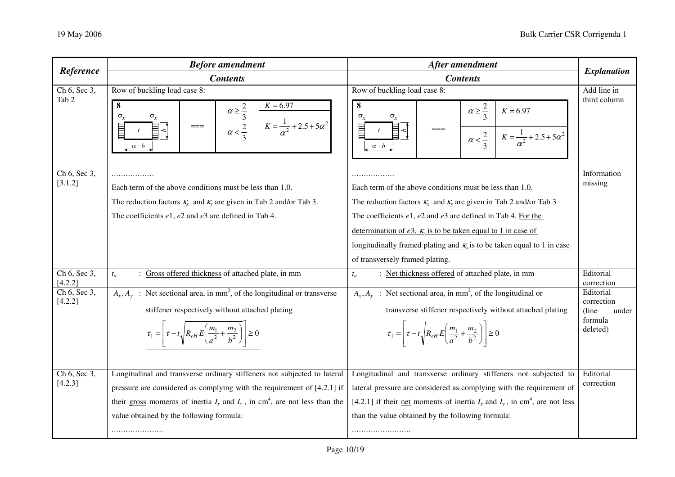| Reference               | <b>Before amendment</b>                                                                                                                               | After amendment                                                                                                                                 | <b>Explanation</b>      |
|-------------------------|-------------------------------------------------------------------------------------------------------------------------------------------------------|-------------------------------------------------------------------------------------------------------------------------------------------------|-------------------------|
|                         | <b>Contents</b>                                                                                                                                       | <b>Contents</b>                                                                                                                                 |                         |
| Ch 6, Sec 3,            | Row of buckling load case 8:                                                                                                                          | Row of buckling load case 8:                                                                                                                    | Add line in             |
| Tab 2                   | 8<br>$K = 6.97$<br>$\alpha \geq \frac{2}{3}$<br>$\alpha < \frac{2}{3}$<br>σ.<br>$K = \frac{1}{\alpha^2} + 2.5 + 5\alpha^2$<br>$==$<br>$\alpha\cdot b$ | 8<br>$\alpha \geq \frac{2}{3}$<br>$K = 6.97$<br>$==$<br>$\alpha < \frac{2}{3}$<br>$K = \frac{1}{\alpha^2} + 2.5 + 5\alpha^2$<br>$\alpha\cdot b$ | third column            |
| Ch 6, Sec 3,<br>[3.1.2] | Each term of the above conditions must be less than 1.0.                                                                                              | Each term of the above conditions must be less than 1.0.                                                                                        | Information<br>missing  |
|                         | The reduction factors $\kappa_x$ and $\kappa_y$ are given in Tab 2 and/or Tab 3.                                                                      | The reduction factors $\kappa_x$ and $\kappa_y$ are given in Tab 2 and/or Tab 3                                                                 |                         |
|                         | The coefficients $e1$ , $e2$ and $e3$ are defined in Tab 4.                                                                                           | The coefficients $e1$ , $e2$ and $e3$ are defined in Tab 4. For the                                                                             |                         |
|                         |                                                                                                                                                       | determination of e3, $\kappa$ is to be taken equal to 1 in case of                                                                              |                         |
|                         |                                                                                                                                                       | <u>longitudinally framed plating and <math>K_x</math> is to be taken equal to 1 in case</u>                                                     |                         |
|                         |                                                                                                                                                       | of transversely framed plating.                                                                                                                 |                         |
| Ch 6, Sec 3,<br>[4.2.2] | : Gross offered thickness of attached plate, in mm<br>$t_a$                                                                                           | : Net thickness offered of attached plate, in mm<br>$t_a$                                                                                       | Editorial<br>correction |
| Ch 6, Sec 3,<br>[4.2.2] | $A_x, A_y$ : Net sectional area, in mm <sup>2</sup> , of the longitudinal or transverse                                                               | $A_x, A_y$ : Net sectional area, in mm <sup>2</sup> , of the longitudinal or                                                                    | Editorial<br>correction |
|                         | stiffener respectively without attached plating                                                                                                       | transverse stiffener respectively without attached plating                                                                                      | (line)<br>under         |
|                         | $\tau_1 = \left  \tau - t \sqrt{R_{eH} E \left( \frac{m_1}{a^2} + \frac{m_2}{b^2} \right)} \right  \ge 0$                                             | $\tau_1 = \left  \tau - t \sqrt{R_{eH} E \left( \frac{m_1}{a^2} + \frac{m_2}{b^2} \right)} \right  \ge 0$                                       | formula<br>deleted)     |
|                         |                                                                                                                                                       |                                                                                                                                                 |                         |
| Ch 6, Sec 3,            | Longitudinal and transverse ordinary stiffeners not subjected to lateral                                                                              | Longitudinal and transverse ordinary stiffeners not subjected to                                                                                | Editorial               |
| [4.2.3]                 | pressure are considered as complying with the requirement of [4.2.1] if                                                                               | lateral pressure are considered as complying with the requirement of                                                                            | correction              |
|                         | their gross moments of inertia $I_x$ and $I_y$ , in cm <sup>4</sup> , are not less than the                                                           | [4.2.1] if their <u>net</u> moments of inertia $I_x$ and $I_y$ , in cm <sup>4</sup> , are not less                                              |                         |
|                         | value obtained by the following formula:                                                                                                              | than the value obtained by the following formula:                                                                                               |                         |
|                         |                                                                                                                                                       |                                                                                                                                                 |                         |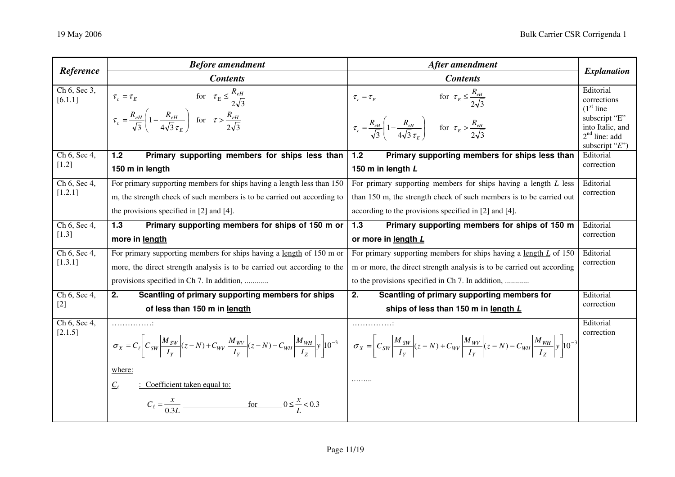| Reference               | <b>Before amendment</b>                                                                                                                                                                     | After amendment                                                                                                                                                                                                | <b>Explanation</b>                                                                                                  |
|-------------------------|---------------------------------------------------------------------------------------------------------------------------------------------------------------------------------------------|----------------------------------------------------------------------------------------------------------------------------------------------------------------------------------------------------------------|---------------------------------------------------------------------------------------------------------------------|
|                         | <b>Contents</b>                                                                                                                                                                             | <b>Contents</b>                                                                                                                                                                                                |                                                                                                                     |
| Ch 6, Sec 3,<br>[6.1.1] | $\tau_c = \tau_E$ for $\tau_E \leq \frac{R_{eH}}{2\sqrt{3}}$<br>$\tau_c = \frac{R_{eH}}{\sqrt{3}} \left( 1 - \frac{R_{eH}}{4\sqrt{3} \tau_r} \right)$ for $\tau > \frac{R_{eH}}{2\sqrt{3}}$ | for $\tau_E \leq \frac{R_{eH}}{2\sqrt{3}}$<br>$\tau_{c}=\tau_{E}$<br>$\tau_c = \frac{R_{eH}}{\sqrt{3}} \left( 1 - \frac{R_{eH}}{4\sqrt{3} \tau_{\varepsilon}} \right)$ for $\tau_E > \frac{R_{eH}}{2\sqrt{3}}$ | Editorial<br>corrections<br>$(1st$ line<br>subscript "E"<br>into Italic, and<br>$2nd$ line: add<br>subscript $E$ ") |
| Ch 6, Sec 4,            | Primary supporting members for ships less than<br>$1.2$                                                                                                                                     | Primary supporting members for ships less than<br>1.2                                                                                                                                                          | Editorial                                                                                                           |
| $[1.2]$                 | 150 m in length                                                                                                                                                                             | 150 m in length L                                                                                                                                                                                              | correction                                                                                                          |
| Ch 6, Sec 4,            | For primary supporting members for ships having a length less than 150                                                                                                                      | For primary supporting members for ships having a length $L$ less                                                                                                                                              | Editorial                                                                                                           |
| [1.2.1]                 | m, the strength check of such members is to be carried out according to                                                                                                                     | than 150 m, the strength check of such members is to be carried out                                                                                                                                            | correction                                                                                                          |
|                         | the provisions specified in $[2]$ and $[4]$ .                                                                                                                                               | according to the provisions specified in [2] and [4].                                                                                                                                                          |                                                                                                                     |
| Ch 6, Sec 4,            | Primary supporting members for ships of 150 m or<br>1.3                                                                                                                                     | Primary supporting members for ships of 150 m<br>1.3                                                                                                                                                           | Editorial                                                                                                           |
| $[1.3]$                 | more in length                                                                                                                                                                              | or more in length L                                                                                                                                                                                            | correction                                                                                                          |
| Ch 6, Sec 4,            | For primary supporting members for ships having a length of 150 m or                                                                                                                        | For primary supporting members for ships having a length $L$ of 150                                                                                                                                            | Editorial                                                                                                           |
| [1.3.1]                 | more, the direct strength analysis is to be carried out according to the                                                                                                                    | m or more, the direct strength analysis is to be carried out according                                                                                                                                         | correction                                                                                                          |
|                         | provisions specified in Ch 7. In addition,                                                                                                                                                  | to the provisions specified in Ch 7. In addition,                                                                                                                                                              |                                                                                                                     |
| Ch 6, Sec 4,            | 2.<br>Scantling of primary supporting members for ships                                                                                                                                     | 2.<br>Scantling of primary supporting members for                                                                                                                                                              | Editorial                                                                                                           |
| $[2]$                   | of less than 150 m in length                                                                                                                                                                | ships of less than 150 m in length L                                                                                                                                                                           | correction                                                                                                          |
| Ch 6, Sec 4,            | .                                                                                                                                                                                           | .                                                                                                                                                                                                              | Editorial                                                                                                           |
| [2.1.5]                 | $\sigma_X = C_e \left  C_{SW} \left  \frac{M_{SW}}{I_Y} \right  (z - N) + C_{WV} \left  \frac{M_{WV}}{I_Y} \right  (z - N) - C_{WH} \left  \frac{M_{WH}}{I_Z} \right  y \right  10^{-3}$    |                                                                                                                                                                                                                | correction                                                                                                          |
|                         | where:                                                                                                                                                                                      |                                                                                                                                                                                                                |                                                                                                                     |
|                         | $C_{\ell}$<br>: Coefficient taken equal to:                                                                                                                                                 |                                                                                                                                                                                                                |                                                                                                                     |
|                         | $C_{\ell} = \frac{x}{0.3L}$<br>for $0 \leq \frac{x}{L} < 0.3$                                                                                                                               |                                                                                                                                                                                                                |                                                                                                                     |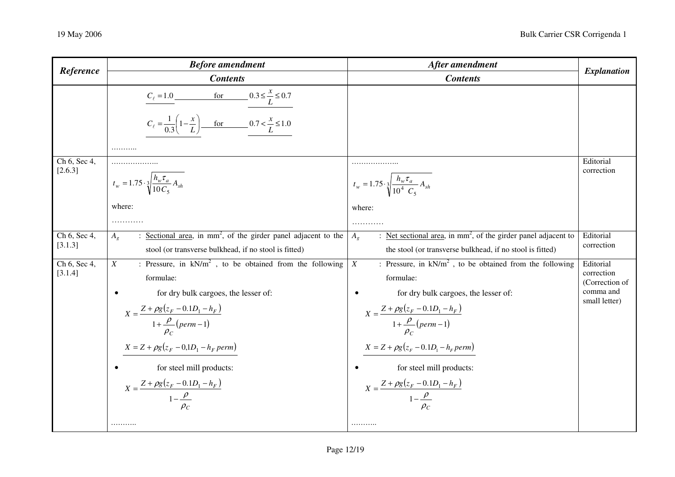| Reference                                   | <b>Before amendment</b>                                                                                                                                                                                                                                                                                                                                                         | After amendment                                                                                                                                                                                                                                                                                                                                                                     | <b>Explanation</b>                                                      |
|---------------------------------------------|---------------------------------------------------------------------------------------------------------------------------------------------------------------------------------------------------------------------------------------------------------------------------------------------------------------------------------------------------------------------------------|-------------------------------------------------------------------------------------------------------------------------------------------------------------------------------------------------------------------------------------------------------------------------------------------------------------------------------------------------------------------------------------|-------------------------------------------------------------------------|
|                                             | <b>Contents</b>                                                                                                                                                                                                                                                                                                                                                                 | <b>Contents</b>                                                                                                                                                                                                                                                                                                                                                                     |                                                                         |
|                                             | $C_{\ell} = 1.0$ for $0.3 \le \frac{x}{L} \le 0.7$<br>$C_{\ell} = \frac{1}{0.3} \left( 1 - \frac{x}{L} \right)$ for 0.7 < $\frac{x}{L} \le 1.0$<br>                                                                                                                                                                                                                             |                                                                                                                                                                                                                                                                                                                                                                                     |                                                                         |
| Ch 6, Sec 4,<br>[2.6.3]                     | $t_w = 1.75 \cdot \sqrt[3]{\frac{h_w \tau_a}{10 C_5}} A_{sh}$                                                                                                                                                                                                                                                                                                                   | .<br>$t_w = 1.75 \cdot \sqrt[3]{\frac{h_w \tau_a}{10^4} \frac{A_{sh}}{C_5}}$                                                                                                                                                                                                                                                                                                        | Editorial<br>correction                                                 |
|                                             | where:<br>.                                                                                                                                                                                                                                                                                                                                                                     | where:<br>.                                                                                                                                                                                                                                                                                                                                                                         |                                                                         |
| Ch 6, Sec 4,<br>[3.1.3]                     | Sectional area, in $mm^2$ , of the girder panel adjacent to the<br>$A_{\varrho}$<br>stool (or transverse bulkhead, if no stool is fitted)                                                                                                                                                                                                                                       | : Net sectional area, in $mm2$ , of the girder panel adjacent to<br>$A_{\varrho}$<br>the stool (or transverse bulkhead, if no stool is fitted)                                                                                                                                                                                                                                      | Editorial<br>correction                                                 |
| $Ch\overline{6, \text{Sec }4, }$<br>[3.1.4] | : Pressure, in $kN/m^2$ , to be obtained from the following<br>X<br>formulae:<br>for dry bulk cargoes, the lesser of:<br>$\bullet$<br>$X = \frac{Z + \rho g (z_F - 0.1D_1 - h_F)}{1 + \frac{\rho}{\rho_c} (perm - 1)}$<br>$X=Z+\rho g\big(z_F-0,\!1D_1-h_F\,perm\big)$<br>for steel mill products:<br>$X = \frac{Z + \rho g (z_F - 0.1D_1 - h_F)}{1 - \frac{\rho}{\rho_c}}$<br> | : Pressure, in $kN/m^2$ , to be obtained from the following<br>X<br>formulae:<br>for dry bulk cargoes, the lesser of:<br>$\bullet$<br>$X = \frac{Z + \rho g (z_F - 0.1D_1 - h_F)}{1 + \frac{\rho}{\rho_c} (perm - 1)}$<br>$X=Z+\rho g\big(z_F-0.1D_{\rm l}-h_F\,perm\big)$<br>for steel mill products:<br>$X = \frac{Z + \rho g (z_F - 0.1D_1 - h_F)}{1 - \frac{\rho}{\rho_c}}$<br> | Editorial<br>correction<br>(Correction of<br>comma and<br>small letter) |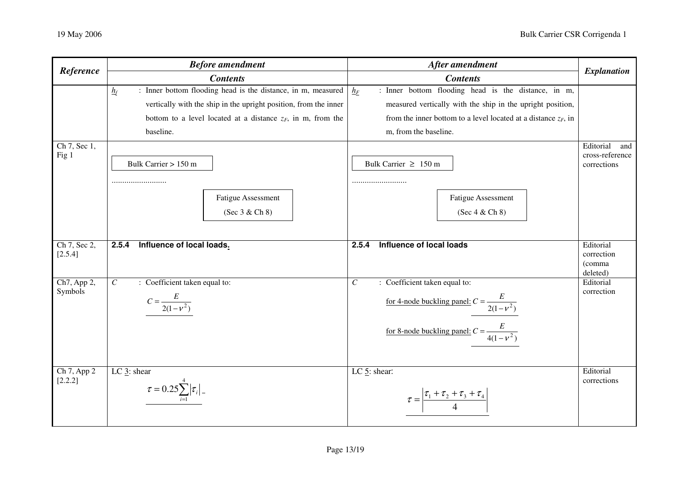| Reference                                 | <b>Before amendment</b>                                                                                                                                                                                                                                                                                     | After amendment                                                                                                                                                                                                                                                                                      | <b>Explanation</b>                                 |
|-------------------------------------------|-------------------------------------------------------------------------------------------------------------------------------------------------------------------------------------------------------------------------------------------------------------------------------------------------------------|------------------------------------------------------------------------------------------------------------------------------------------------------------------------------------------------------------------------------------------------------------------------------------------------------|----------------------------------------------------|
|                                           | <b>Contents</b>                                                                                                                                                                                                                                                                                             | <b>Contents</b>                                                                                                                                                                                                                                                                                      |                                                    |
| $Ch\overline{7, \text{Sec }1, }$<br>Fig 1 | : Inner bottom flooding head is the distance, in m, measured<br>$\underline{h}_f$<br>vertically with the ship in the upright position, from the inner<br>bottom to a level located at a distance $z_F$ , in m, from the<br>baseline.<br>Bulk Carrier > 150 m<br><b>Fatigue Assessment</b><br>(Sec 3 & Ch 8) | : Inner bottom flooding head is the distance, in m,<br>$h_F$<br>measured vertically with the ship in the upright position,<br>from the inner bottom to a level located at a distance $z_F$ , in<br>m, from the baseline.<br>Bulk Carrier $\geq 150$ m<br><b>Fatigue Assessment</b><br>(Sec 4 & Ch 8) | Editorial<br>and<br>cross-reference<br>corrections |
|                                           |                                                                                                                                                                                                                                                                                                             |                                                                                                                                                                                                                                                                                                      |                                                    |
| Ch 7, Sec 2,<br>[2.5.4]                   | Influence of local loads.<br>2.5.4                                                                                                                                                                                                                                                                          | Influence of local loads<br>2.5.4                                                                                                                                                                                                                                                                    | Editorial<br>correction<br>(comma<br>deleted)      |
| Ch7, App 2,<br>Symbols                    | : Coefficient taken equal to:<br>$\overline{C}$<br>$C = \frac{E}{2(1 - v^2)}$                                                                                                                                                                                                                               | : Coefficient taken equal to:<br>$\mathcal{C}$<br>for 4-node buckling panel: $C = \frac{E}{2(1 - v^2)}$<br>for 8-node buckling panel: $C = \frac{E}{4(1 - v^2)}$                                                                                                                                     | Editorial<br>correction                            |
| Ch 7, App 2<br>[2.2.2]                    | LC $\underline{3}$ : shear<br>$\tau = 0.25 \sum_{i=1}^{4}  \tau_i $                                                                                                                                                                                                                                         | $LC$ 5: shear:<br>$\tau = \frac{ \tau_1 + \tau_2 + \tau_3 + \tau_4 }{4}$                                                                                                                                                                                                                             | Editorial<br>corrections                           |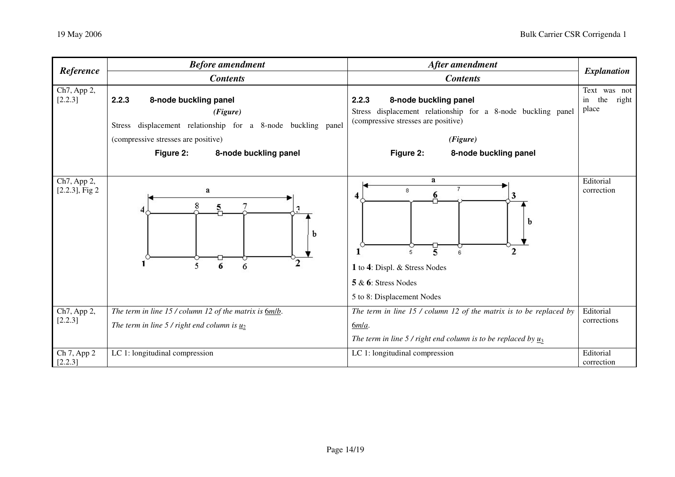| Reference                        | <b>Before amendment</b>                                                                                                                                                                           | After amendment                                                                                                                                                                         | <b>Explanation</b>                          |
|----------------------------------|---------------------------------------------------------------------------------------------------------------------------------------------------------------------------------------------------|-----------------------------------------------------------------------------------------------------------------------------------------------------------------------------------------|---------------------------------------------|
|                                  | <b>Contents</b>                                                                                                                                                                                   | <b>Contents</b>                                                                                                                                                                         |                                             |
| Ch7, App 2,<br>[2.2.3]           | 2.2.3<br>8-node buckling panel<br>(Figure)<br>displacement relationship for a 8-node buckling panel<br><b>Stress</b><br>(compressive stresses are positive)<br>Figure 2:<br>8-node buckling panel | 2.2.3<br>8-node buckling panel<br>Stress displacement relationship for a 8-node buckling panel<br>(compressive stresses are positive)<br>(Figure)<br>Figure 2:<br>8-node buckling panel | Text was not<br>the<br>right<br>in<br>place |
| Ch7, App 2,<br>$[2.2.3]$ , Fig 2 | a<br>8<br>5<br>b<br>6<br>6                                                                                                                                                                        | $\mathbf{a}$<br>8<br>6<br>4<br>b<br>5<br>2<br>1 to 4: Displ. & Stress Nodes<br>$5 & 6$ : Stress Nodes<br>5 to 8: Displacement Nodes                                                     | Editorial<br>correction                     |
| Ch7, App 2,<br>[2.2.3]           | The term in line $15$ / column 12 of the matrix is $6m/b$ .<br>The term in line 5 / right end column is $u_2$                                                                                     | The term in line $15$ / column 12 of the matrix is to be replaced by<br>$6m/a$ .<br>The term in line 5 / right end column is to be replaced by $\underline{u}_3$                        | Editorial<br>corrections                    |
| Ch 7, App 2<br>[2.2.3]           | LC 1: longitudinal compression                                                                                                                                                                    | LC 1: longitudinal compression                                                                                                                                                          | Editorial<br>correction                     |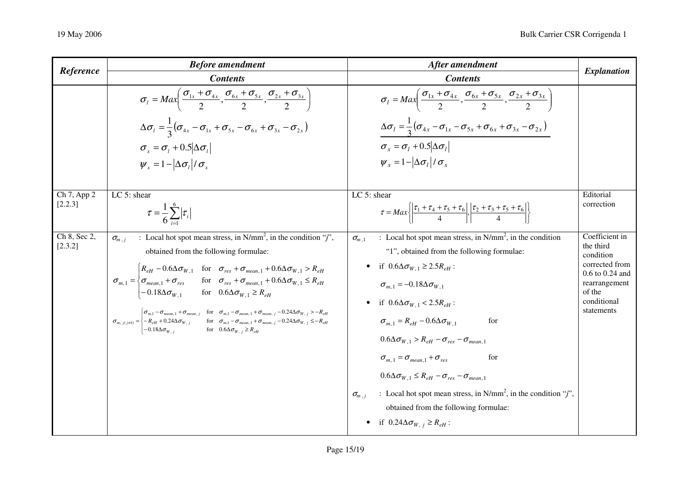| Reference               | <b>Before amendment</b>                                                                                                                                                                                                                                                                                                                                                                                                                                                                                                                                                                                                                                                                                                                                                                                                                                                                                                                              | After amendment                                                                                                                                                                                                                                                                                                                                                                                                                                                                                                                                                                                                                                                                                                                   | <b>Explanation</b>                                                                                                                        |
|-------------------------|------------------------------------------------------------------------------------------------------------------------------------------------------------------------------------------------------------------------------------------------------------------------------------------------------------------------------------------------------------------------------------------------------------------------------------------------------------------------------------------------------------------------------------------------------------------------------------------------------------------------------------------------------------------------------------------------------------------------------------------------------------------------------------------------------------------------------------------------------------------------------------------------------------------------------------------------------|-----------------------------------------------------------------------------------------------------------------------------------------------------------------------------------------------------------------------------------------------------------------------------------------------------------------------------------------------------------------------------------------------------------------------------------------------------------------------------------------------------------------------------------------------------------------------------------------------------------------------------------------------------------------------------------------------------------------------------------|-------------------------------------------------------------------------------------------------------------------------------------------|
|                         | <b>Contents</b>                                                                                                                                                                                                                                                                                                                                                                                                                                                                                                                                                                                                                                                                                                                                                                                                                                                                                                                                      | <b>Contents</b>                                                                                                                                                                                                                                                                                                                                                                                                                                                                                                                                                                                                                                                                                                                   |                                                                                                                                           |
|                         | $\sigma_{1} = Max\left(\frac{\sigma_{1x} + \sigma_{4x}}{2}, \frac{\sigma_{6x} + \sigma_{5x}}{2}, \frac{\sigma_{2x} + \sigma_{3x}}{2}\right)$<br>$\Delta \sigma_{l} = \frac{1}{3} (\sigma_{4x} - \sigma_{1x} + \sigma_{5x} - \sigma_{6x} + \sigma_{3x} - \sigma_{2x})$<br>$\sigma_r = \sigma_l + 0.5 \Delta\sigma_l $<br>$\psi_r = 1 -  \Delta \sigma_i  / \sigma_r$                                                                                                                                                                                                                                                                                                                                                                                                                                                                                                                                                                                  | $\sigma_l = Max\left(\frac{\sigma_{1x} + \sigma_{4x}}{2}, \frac{\sigma_{6x} + \sigma_{5x}}{2}, \frac{\sigma_{2x} + \sigma_{3x}}{2}\right)$<br>$\Delta \sigma_l = \frac{1}{3} (\sigma_{4x} - \sigma_{1x} - \sigma_{5x} + \sigma_{6x} + \sigma_{3x} - \sigma_{2x})$<br>$\sigma_r = \sigma_l + 0.5 \Delta\sigma_l $<br>$\psi_x = 1 -  \Delta \sigma_t  / \sigma_x$                                                                                                                                                                                                                                                                                                                                                                   |                                                                                                                                           |
| Ch 7, App 2<br>[2.2.3]  | LC 5: shear<br>$\tau = \frac{1}{6} \sum_{i=1}^{6}  \tau_i $                                                                                                                                                                                                                                                                                                                                                                                                                                                                                                                                                                                                                                                                                                                                                                                                                                                                                          | LC $5:$ shear<br>$\tau = Max \left\{ \left  \frac{\tau_1 + \tau_4 + \tau_5 + \tau_6}{4} \right , \left  \frac{\tau_2 + \tau_3 + \tau_5 + \tau_6}{4} \right  \right\}$                                                                                                                                                                                                                                                                                                                                                                                                                                                                                                                                                             | Editorial<br>correction                                                                                                                   |
| Ch 8, Sec 2,<br>[2.3.2] | : Local hot spot mean stress, in $N/mm^2$ , in the condition "j",<br>$\sigma_{m,i}$<br>obtained from the following formulae:<br>$\sigma_{m,1} = \begin{cases} R_{eH} - 0.6\Delta\sigma_{W,1} & \text{for} \quad \sigma_{res} + \sigma_{mean,1} + 0.6\Delta\sigma_{W,1} > R_{eH} \\ \sigma_{mean,1} + \sigma_{res} & \text{for} \quad \sigma_{res} + \sigma_{mean,1} + 0.6\Delta\sigma_{W,1} \leq R_{eH} \\ -0.18\Delta\sigma_{W,1} & \text{for} \quad 0.6\Delta\sigma_{W,1} \geq R_{eH} \end{cases}$<br>$\sigma_{m,\;j(j\neq 1)}=\begin{cases} \sigma_{m,1}-\sigma_{mean,\;1}+\sigma_{mean,\;j} & \text{for} \quad \sigma_{m,1}-\sigma_{mean,\;1}+\sigma_{mean,\;j}-0.24\Delta \sigma_{W,\;j}>-R_{eH}\\ -R_{eH}+0.24\Delta \sigma_{W,\;j} & \text{for} \quad \sigma_{m,1}-\sigma_{mean,\;1}+\sigma_{mean,\;j}-0.24\Delta \sigma_{W,\;j}\leq -R_{eH}\\ -0.18\Delta \sigma_{W,\;j} & \text{for} \quad 0.6\Delta \sigma_{W,\;j}\geq R_{eH} \end{cases}$ | : Local hot spot mean stress, in $N/mm^2$ , in the condition<br>$\sigma_{m,1}$<br>"1", obtained from the following formulae:<br>• if $0.6\Delta\sigma_{W,1} \geq 2.5R_{eH}$ :<br>$\sigma_{m,1} = -0.18 \Delta \sigma_{W,1}$<br>if $0.6\Delta\sigma_{W}$ 1 < 2.5 $R_{eH}$ :<br>$\sigma_{m-1} = R_{eH} - 0.6\Delta\sigma_{W-1}$<br>for<br>$0.6\Delta\sigma_{W,1} > R_{eH} - \sigma_{res} - \sigma_{mean,1}$<br>$\sigma_{m.1} = \sigma_{mean,1} + \sigma_{res}$<br>for<br>$0.6\Delta\sigma_{W,1} \leq R_{eH} - \sigma_{res} - \sigma_{mean,1}$<br>: Local hot spot mean stress, in N/mm <sup>2</sup> , in the condition "j",<br>$\sigma_{m,i}$<br>obtained from the following formulae:<br>if $0.24\Delta\sigma_{W,i} \geq R_{eH}$ : | Coefficient in<br>the third<br>condition<br>corrected from<br>$0.6$ to $0.24$ and<br>rearrangement<br>of the<br>conditional<br>statements |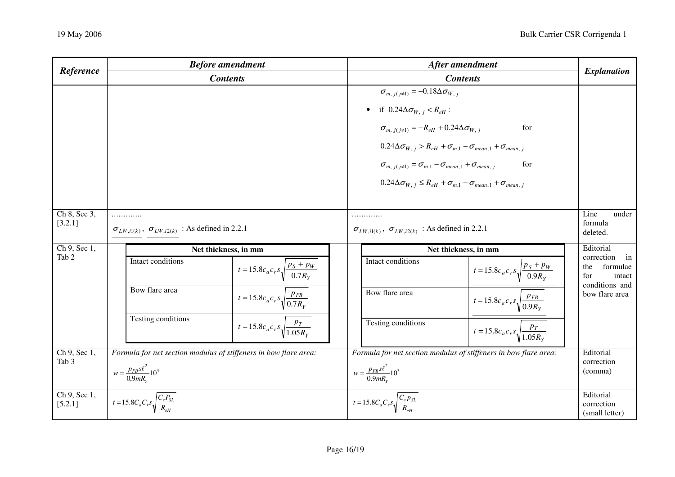| Reference                                  | <b>Before amendment</b>                                                  | After amendment                                                                                                                                                                                                                                                                                                                                                                                                                                            | <b>Explanation</b>                                                     |
|--------------------------------------------|--------------------------------------------------------------------------|------------------------------------------------------------------------------------------------------------------------------------------------------------------------------------------------------------------------------------------------------------------------------------------------------------------------------------------------------------------------------------------------------------------------------------------------------------|------------------------------------------------------------------------|
|                                            | <b>Contents</b>                                                          | <b>Contents</b>                                                                                                                                                                                                                                                                                                                                                                                                                                            |                                                                        |
|                                            |                                                                          | $\sigma_{m, i(i\neq 1)} = -0.18 \Delta \sigma_{W, i}$<br>• if $0.24\Delta\sigma_{W, j} < R_{eH}$ :<br>$\sigma_{m, i(i\neq 1)} = -R_{eH} + 0.24 \Delta \sigma_{W, i}$<br>for<br>$0.24\Delta\sigma_{W, j} > R_{eH} + \sigma_{m,1} - \sigma_{mean,1} + \sigma_{mean, j}$<br>for<br>$\sigma_{m, j(j\neq 1)} = \sigma_{m,1} - \sigma_{mean,1} + \sigma_{mean, j}$<br>$0.24\Delta\sigma_{W, j} \leq R_{eH} + \sigma_{m,1} - \sigma_{mean, 1} + \sigma_{mean, j}$ |                                                                        |
| Ch 8, Sec 3,<br>[3.2.1]                    | .<br>$\sigma_{LW,i1(k)}$ . $\sigma_{LW,i2(k)}$ : As defined in 2.2.1     | .<br>$\sigma_{LW,i1(k)}$ , $\sigma_{LW,i2(k)}$ : As defined in 2.2.1                                                                                                                                                                                                                                                                                                                                                                                       | Line<br>under<br>formula<br>deleted.                                   |
| $\overline{\text{Ch } 9, \text{Sec } 1, }$ | Net thickness, in mm                                                     | Net thickness, in mm                                                                                                                                                                                                                                                                                                                                                                                                                                       | Editorial                                                              |
| Tab 2                                      | Intact conditions<br>$t = 15.8c_a c_r s \sqrt{\frac{p_s + p_w}{0.7R_Y}}$ | Intact conditions<br>$t = 15.8c_a c_r s \sqrt{\frac{p_s + p_w}{0.9R_Y}}$                                                                                                                                                                                                                                                                                                                                                                                   | correction<br>in<br>formulae<br>the<br>for<br>intact<br>conditions and |
|                                            | Bow flare area<br>$t = 15.8c_a c_r s \sqrt{\frac{p_{FB}}{0.7 R_Y}}$      | Bow flare area<br>$t = 15.8c_a c_r s \sqrt{\frac{p_{FB}}{0.9R_Y}}$                                                                                                                                                                                                                                                                                                                                                                                         | bow flare area                                                         |
|                                            | Testing conditions<br>$t = 15.8c_a c_r s \sqrt{\frac{p_T}{1.05R_Y}}$     | Testing conditions<br>$t = 15.8c_a c_r s \sqrt{\frac{p_T}{1.05R_v}}$                                                                                                                                                                                                                                                                                                                                                                                       |                                                                        |
| Ch 9, Sec 1,                               | Formula for net section modulus of stiffeners in bow flare area:         | Formula for net section modulus of stiffeners in bow flare area:                                                                                                                                                                                                                                                                                                                                                                                           | Editorial                                                              |
| Tab <sub>3</sub>                           | $w = \frac{p_{FB} s \ell^2}{0.9 m R_{Y}} 10^3$                           | $w = \frac{p_{FB} s \ell^2}{0.9 m R_{\rm Y}} 10^3$                                                                                                                                                                                                                                                                                                                                                                                                         | correction<br>(comma)                                                  |
| Ch 9, Sec 1,<br>[5.2.1]                    | $t = 15.8 C_a C_r s \sqrt{\frac{C_s P_{SL}}{R_{eH}}}$                    | $t = 15.8 C_a C_r s \sqrt{\frac{C_s p_{SL}}{R_{eH}}}$                                                                                                                                                                                                                                                                                                                                                                                                      | Editorial<br>correction<br>(small letter)                              |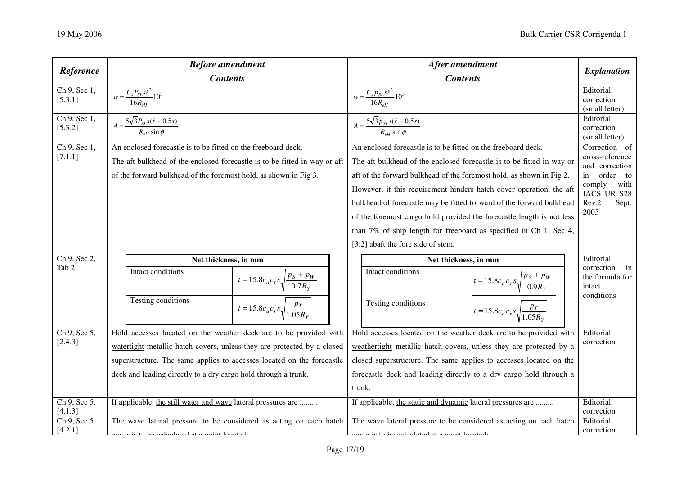| Reference                 | <b>Before amendment</b>                                                   | After amendment                                                             | <b>Explanation</b>                                       |
|---------------------------|---------------------------------------------------------------------------|-----------------------------------------------------------------------------|----------------------------------------------------------|
|                           | <b>Contents</b>                                                           | <b>Contents</b>                                                             |                                                          |
| Ch 9, Sec 1,<br>[5.3.1]   | $w = \frac{C_s P_{SL} s \ell^2}{16 R_{eH}} 10^3$                          | $w = \frac{C_s p_{SL} s \ell^2}{16 R_{eH}} 10^3$                            | Editorial<br>correction<br>(small letter)                |
| Ch 9, Sec 1,<br>[5.3.2]   | $A = \frac{5\sqrt{3}P_{SL} s(\ell - 0.5s)}{R_{eH} \sin \phi}$             | $A = \frac{5\sqrt{3}p_{SL} s(\ell - 0.5s)}{R_{eH} \sin \phi}$               | Editorial<br>correction<br>(small letter)                |
| Ch 9, Sec 1,              | An enclosed forecastle is to be fitted on the freeboard deck.             | An enclosed forecastle is to be fitted on the freeboard deck.               | Correction of                                            |
| [7.1.1]                   | The aft bulkhead of the enclosed forecastle is to be fitted in way or aft | The aft bulkhead of the enclosed forecastle is to be fitted in way or       | cross-reference<br>and correction                        |
|                           | of the forward bulkhead of the foremost hold, as shown in Fig 3.          | aft of the forward bulkhead of the foremost hold, as shown in Fig 2.        | in order<br>to                                           |
|                           |                                                                           | However, if this requirement hinders hatch cover operation, the aft         | comply<br>with<br>IACS UR S28                            |
|                           |                                                                           | bulkhead of forecastle may be fitted forward of the forward bulkhead        | Rev.2<br>Sept.                                           |
|                           |                                                                           | of the foremost cargo hold provided the forecastle length is not less       | 2005                                                     |
|                           |                                                                           | than $7\%$ of ship length for freeboard as specified in Ch 1, Sec 4,        |                                                          |
|                           |                                                                           | [3.2] abaft the fore side of stem.                                          |                                                          |
| Ch 9, Sec 2,              | Net thickness, in mm                                                      | Net thickness, in mm                                                        | Editorial                                                |
| Tab 2                     | Intact conditions<br>$t = 15.8c_a c_r s \sqrt{\frac{p_s + p_w}{0.7R_Y}}$  | Intact conditions<br>$t = 15.8c_a c_r s \sqrt{\frac{p_s + p_w}{0.9R_Y}}$    | correction in<br>the formula for<br>intact<br>conditions |
|                           | Testing conditions<br>$t = 15.8c_a c_r s_v \sqrt{\frac{p_T}{1.05R_Y}}$    | <b>Testing conditions</b><br>$t = 15.8c_a c_r s \sqrt{\frac{p_T}{1.05R_Y}}$ |                                                          |
| Ch $9,$ Sec $5,$          | Hold accesses located on the weather deck are to be provided with         | Hold accesses located on the weather deck are to be provided with           | Editorial                                                |
| [2.4.3]                   | watertight metallic hatch covers, unless they are protected by a closed   | weathertight metallic hatch covers, unless they are protected by a          | correction                                               |
|                           | superstructure. The same applies to accesses located on the forecastle    | closed superstructure. The same applies to accesses located on the          |                                                          |
|                           | deck and leading directly to a dry cargo hold through a trunk.            | forecastle deck and leading directly to a dry cargo hold through a          |                                                          |
|                           |                                                                           | trunk.                                                                      |                                                          |
| $Ch$ 9, Sec 5,<br>[4.1.3] | If applicable, the still water and wave lateral pressures are             | If applicable, the static and dynamic lateral pressures are                 | Editorial<br>correction                                  |
| Ch $9,$ Sec 5,            | The wave lateral pressure to be considered as acting on each hatch        | The wave lateral pressure to be considered as acting on each hatch          | Editorial                                                |
| [4.2.1]                   | rest is to be experiented at a point located.                             | red is to be experienced at a point logar advised                           | correction                                               |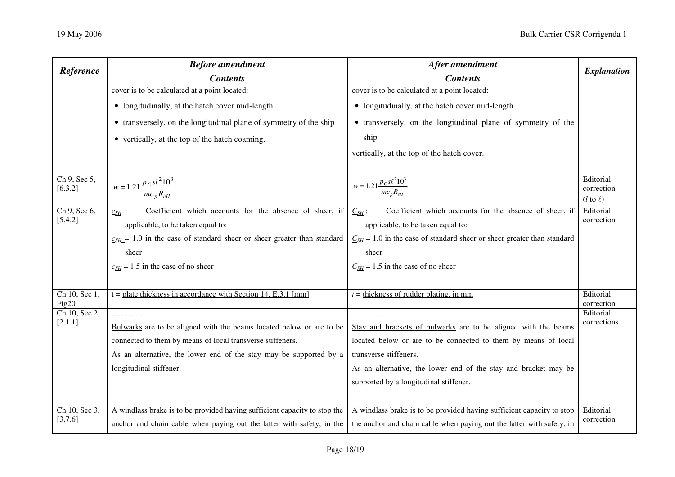| Reference               | <b>Before amendment</b>                                                     | After amendment                                                             | <b>Explanation</b>                                |
|-------------------------|-----------------------------------------------------------------------------|-----------------------------------------------------------------------------|---------------------------------------------------|
|                         | <b>Contents</b>                                                             | <b>Contents</b>                                                             |                                                   |
|                         | cover is to be calculated at a point located:                               | cover is to be calculated at a point located:                               |                                                   |
|                         | • longitudinally, at the hatch cover mid-length                             | • longitudinally, at the hatch cover mid-length                             |                                                   |
|                         | • transversely, on the longitudinal plane of symmetry of the ship           | • transversely, on the longitudinal plane of symmetry of the                |                                                   |
|                         | • vertically, at the top of the hatch coaming.                              | ship                                                                        |                                                   |
|                         |                                                                             | vertically, at the top of the hatch cover.                                  |                                                   |
| Ch 9, Sec 5,<br>[6.3.2] | $w = 1.21 \frac{p_c s l^2 10^3}{\sqrt{1 - (v^2 - 1)}$<br>$mc_p R_{eH}$      | $w = 1.21 \frac{p_{C} s \ell^2 10^3}{m c_p R_{eH}}$                         | Editorial<br>correction<br>$(l \text{ to } \ell)$ |
| Ch 9, Sec 6,            | Coefficient which accounts for the absence of sheer, if<br>$c_{SH}$ :       | Coefficient which accounts for the absence of sheer, if<br>$C_{SH}$ :       | Editorial                                         |
| [5.4.2]                 | applicable, to be taken equal to:                                           | applicable, to be taken equal to:                                           | correction                                        |
|                         | $c_{SH}$ = 1.0 in the case of standard sheer or sheer greater than standard | $C_{SH}$ = 1.0 in the case of standard sheer or sheer greater than standard |                                                   |
|                         | sheer                                                                       | sheer                                                                       |                                                   |
|                         | $\mathbf{c}_{SH}$ = 1.5 in the case of no sheer                             | $C_{SH}$ = 1.5 in the case of no sheer                                      |                                                   |
|                         |                                                                             |                                                                             |                                                   |
| Ch 10, Sec 1,           | $t = plate$ thickness in accordance with Section 14, E.3.1 [mm]             | $t =$ thickness of rudder plating, in mm                                    | Editorial                                         |
| Fig20<br>Ch 10, Sec 2,  | .                                                                           | .                                                                           | correction<br>Editorial                           |
| [2.1.1]                 | Bulwarks are to be aligned with the beams located below or are to be        | Stay and brackets of bulwarks are to be aligned with the beams              | corrections                                       |
|                         | connected to them by means of local transverse stiffeners.                  | located below or are to be connected to them by means of local              |                                                   |
|                         | As an alternative, the lower end of the stay may be supported by a          | transverse stiffeners.                                                      |                                                   |
|                         | longitudinal stiffener.                                                     | As an alternative, the lower end of the stay and bracket may be             |                                                   |
|                         |                                                                             | supported by a longitudinal stiffener.                                      |                                                   |
|                         |                                                                             |                                                                             |                                                   |
| Ch 10, Sec 3,           | A windlass brake is to be provided having sufficient capacity to stop the   | A windlass brake is to be provided having sufficient capacity to stop       | Editorial                                         |
| [3.7.6]                 | anchor and chain cable when paying out the latter with safety, in the       | the anchor and chain cable when paying out the latter with safety, in       | correction                                        |